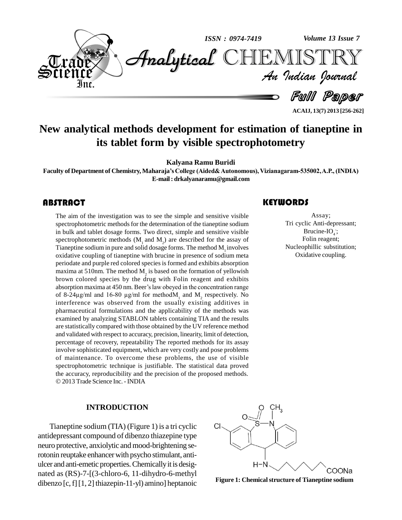

**ACAIJ, 13(7) 2013 [256-262]**

### **New analytical methods development for estimation of tianeptine in its tablet form by visible spectrophotometry**

**Kalyana Ramu Buridi**

**Faculty of Department of Chemistry, Maharajaís College (Aided&Autonomous), Vizianagaram-535002,A.P., (INDIA) E-mail: [drkalyanaramu@gmail.com](mailto:drkalyanaramu@gmail.com)**

The aim of the investige<br>spectrophotometric meth<br>in bulk and tablet dosag The aim of the investigation was to see the simple and sensitive visible spectrophotometric methods for the determination of the tianeptine sodium in bulk and tablet dosage forms. Two direct, simple and sensitive visible spectrophotometric methods  $(M_1 \text{ and } M_2)$  are described for the assay of Tianeptine sodium in pure and solid dosage forms. The method  $M_1$  involves oxidative coupling of tianeptine with brucine in presence of sodium meta periodate and purple red colored speciesisformed and exhibits absorption maxima at 510nm. The method  $M_2$  is based on the formation of yellowish brown colored species by the drug with Folin reagent and exhibits maxima at 510nm. The method  $M_2$  is based on the formation of yellowish<br>brown colored species by the drug with Folin reagent and exhibits<br>absorption maxima at 450 nm. Beer's law obeyed in the concentration range brown colored species by the drug with Folin reagent and exhibits<br>absorption maxima at 450 nm. Beer's law obeyed in the concentration range<br>of 8-24 $\mu$ g/ml and 16-80  $\mu$ g/ml for methodM<sub>1</sub> and M<sub>2</sub> respectively. No interference was observed from the usually existing additives in pharmaceutical formulations and the applicability of the methods was examined by analyzing STABLON tablets containing TIA and the results are statistically compared with those obtained by the UV reference method and validated with respect to accuracy, precision, linearity, limit of detection, percentage of recovery, repeatability The reported methods for its assay involve sophisticated equipment, which are very costly and pose problems of maintenance. To overcome these problems, the use of visible spectrophotometric technique is justifiable. The statistical data proved the accuracy, reproducibility and the precision of the proposed methods. 2013 Trade Science Inc. -INDIA

#### **INTRODUCTION**

Tianeptine sodium (TIA) (Figure 1) is a tri cyclic antidepressant compound of dibenzo thiazepine type neuro protective, anxiolytic and mood-brightening serotonin reuptake enhancer with psycho stimulant, antiulcer and anti-emetic properties. Chemically it is designated as (RS)-7-[(3-chloro-6, 11-dihydro-6-methyl dibenzo  $[c, f]$ [1, 2] thiazepin-11-yl) amino] heptanoic

#### **KEYWORDS**

Assay;<br>Tri cyclic Anti-dep<br>Brucine-IO<sub>4</sub> Assay; Tri cyclic Anti-depressant; Brucine-I $O_4$ ; Folin reagent; Nucleophillic substitution; Oxidative coupling.



**Figure 1: Chemicalstructure of Tianeptine sodium**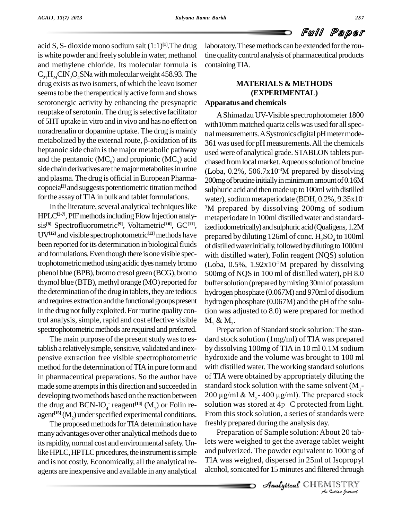# Full Paper

acid S, S- dioxide mono sodium salt (1:1) **[1]**.The drug is white powder and freely soluble in water, methanol and methylene chloride. Its molecular formula is  $C_{21}H_{24}CIN_{2}O_{4}SNa$  with molecular weight 458.93. The drug exists astwo isomers, of which the leavo isomer seems to be the therapeutically active form and shows serotonergic activity by enhancing the presynaptic reuptake of serotonin. The drug is selective facilitator of 5HTuptake in vitro and in vivo and has no effect on noradrenalin or dopamine uptake. The drug is mainly metabolized by the external route,  $\beta$ -oxidation of its heptanoic side chain is the major metabolic pathway and the pentanoic  $(MC_5)$  and propionic  $(MC_2)$  acid side chain derivatives are the major metabolites in urine and plasma.The drug isofficial in European Pharma copoeia<sup>[2]</sup> and suggests potentiometric titration method sulphur for the assay of TIA in bulk and tablet formulations.

In the literature, several analytical techniques like HPLC<sup>[3-7]</sup>, PIF methods including Flow Injection analysis<sup>[8],</sup> Spectrofluorometric<sup>[9]</sup>, Voltametric<sup>[10]</sup>, GC<sup>[11]</sup>, <sub>ize</sub> UV<sup>[12]</sup> and visible spectrophotometric<sup>[13]</sup> methods have prepar been reported for its determination in biological fluids and formulations. Even though there is one visible spectrophotometric method using acidic dyes namely bromo phenol blue (BPB), bromo cresol green (BCG), bromo thymol blue (BTB), methyl orange (MO) reported for the determination of the drug in tablets, they are tedious and requires extraction and the functional groups present in the drug not fully exploited. For routine quality control analysis, simple, rapid and cost effective visible spectrophotometric methods are required and preferred.

The main purpose of the present study was to establish a relatively simple, sensitive, validated and inexpensive extraction free visible spectrophotometric method for the determination of TIA in pure form and in pharmaceutical preparations. So the author have made some attempts in this direction and succeeded in developing two methods based on the reaction between  $200 \mu g/ml \& M<sub>2</sub> - 400 \mu g/ml$ . The prepared stock the drug and  $BCN-IO_4^-$  reagent<sup>[14]</sup>  $(M_1)$  or Folin re-<br>agent<sup>[15]</sup>  $(M_2)$  under specified experimental conditions. Fro agent<sup>[15]</sup> ( $M_2$ ) under specified experimental conditions.<br>The proposed methods for TIA determination have

many advantages over other analytical methods due to its rapidity, normal cost and environmental safety. Unlike HPLC, HPTLC procedures, the instrument is simple and isnot costly. Economically, all the analytical re agents are inexpensive and available in any analytical laboratory.Thesemethods can be extended forthe routine qualitycontrol analysis of pharmaceutical products containingTIA.

### **MATERIALS & METHODS (EXPERIMENTAL) Apparatus and chemicals**

AShimadzu UV-Visible spectrophotometer 1800 with10mm matched quartz cells was used for all spectral measurements. A Systronics digital pH meter mode-361 was used forpH measurements.All the chemicals used were of analytical grade. STABLON tablets pur chased from local market. Aqueous solution of brucine  $(Loba, 0.2\%, 506.7x10^{-3}M$  prepared by dissolving 200mg of brucine initially in minimum amount of 0.16M sulphuric acid and then made up to 100ml with distilled water), sodium metaperiodate (BDH, 0.2%, 9.35x10 <sup>3</sup>M prepared by dissolving 200mg of sodium metaperiodate in 100ml distilled water and standardized iodometrically) and sulphuric acid (Qualigens, 1.2M prepared by diluting 126ml of conc.  $\rm H_2SO_4$  to 100ml of distilled water initially, followed by diluting to 1000ml with distilled water), Folin reagent (NQS) solution  $(Loba, 0.5\%, 1.92x10<sup>-2</sup>M$  prepared by dissolving 500mg of NQS in 100 ml of distilled water), pH 8.0 buffer solution (prepared by mixing 30ml of potassium hydrogen phosphate (0.067M) and 970ml of disodium hydrogen phosphate  $(0.067M)$  and the pH of the solution was adjusted to 8.0) were prepared for method  $M_1 \& M_2$ .

Preparation of Standard stock solution: The stan dard stock solution (1mg/ml) of TIA was prepared by dissolving 100mg of TIA in 10 ml 0.1M sodium hydroxide and the volume was brought to 100 ml with distilled water.The working standard solutions of TIA were obtained by appropriately diluting the standard stock solution with the same solvent  $(M_1$ solution was stored at 4p C protected from light. From this stock solution, a series of standards were freshly prepared during the analysis day.

Preparation of Sample solution: About 20 tab-*Indian*<br>*Indian*<br>*I* Isopropyl<br>*I* ISTRY<br>Indian bournal lets were weighed to get the average tablet weight and pulverized. The powder equivalent to 100mg of TIA was weighed, dispersed in 25ml of Isopropyl alcohol, sonicated for 15 minutes and filtered through

**Analytical** CHEMISTRY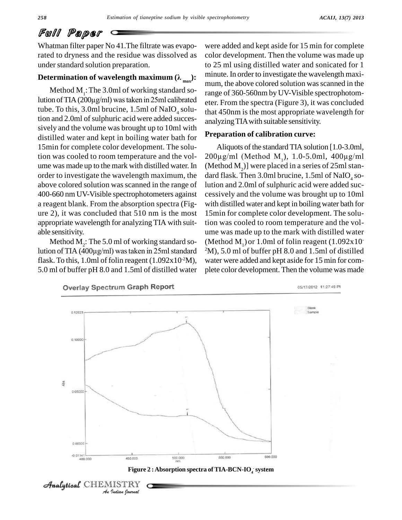## Full Paper

Whatman filter paper No 41.The filtrate was evaporated to dryness and the residue was dissolved as under standard solution preparation.

#### **Determination of wavelength maximum**  $(\lambda_{\text{max}})$ :

Method  $M<sub>1</sub>$ : The 3.0ml of working standard solution ofTIA(200µg/ml) wastaken in 25ml calibrated tube. To this, 3.0ml brucine, 1.5ml of NaIO<sub>4</sub> solution and 2.0ml of sulphuric acid were added successively and the volume was brought up to 10ml with distilled water and kept in boiling water bath for 15min for complete color development. The solution was cooled to room temperature and the vol ume was made up to the mark with distilled water. In (Method  $M$ <sub>2</sub>)] were placed in a series of 25ml stanorder to investigate the wavelength maximum, the above colored solution was scanned in the range of 400-660 nm UV-Visible spectrophotometers against a reagent blank. From the absorption spectra (Fig ure 2), it was concluded that  $510 \text{ nm}$  is the most appropriate wavelength for analyzing TIA with suit able sensitivity.

Method  $M_2$ : The 5.0 ml of working standard so- (M lution of TIA  $(400\mu g/ml)$  was taken in 25ml standard flask. To this, 1.0ml of folin reagent  $(1.092 \times 10^{-2} M)$ , was 5.0 ml of buffer pH 8.0 and 1.5ml of distilled water

were added and kept aside for 15 min for complete color development. Then the volume was made up to 25 ml using distilled water and sonicated for 1 minute. In order to investigate the wavelength maxi mum, the above colored solution was scanned in the range of 360-560nm by UV-Visible spectrophotom eter. From the spectra (Figure 3), it was concluded that 450nm is the most appropriate wavelength for analyzingTIAwith suitable sensitivity.

#### **Preparation of calibration curve:**

Aliquots of the standard TIA solution [1.0-3.0ml,  $200\mu g/ml$  (Method M<sub>1</sub>), 1.0-5.0ml, 400 $\mu g/ml$ dard flask. Then 3.0ml brucine, 1.5ml of NaIO<sub>4</sub> solution and 2.0ml of sulphuric acid were added suc cessively and the volume was brought up to 10ml with distilled water and kept in boiling water bath for 15min for complete color development. The solution was cooled to room temperature and the vol ume was made up to the mark with distilled water (Method  $M_1$ ) or 1.0ml of folin reagent (1.092x10  $2^2$ M), 5.0 ml of buffer pH 8.0 and 1.5ml of distilled water were added and kept aside for 15 min for com plete color development. Then the volume was made





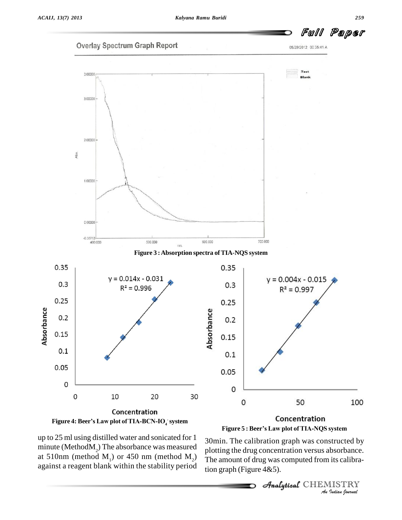



up to 25 ml using distilled water and sonicated for 1 minute (Method $M<sub>2</sub>$ ) The absorbance was measured at 510nm (method  $M_1$ ) or 450 nm (method  $M_2$ ) against a reagent blank within the stability period

30min. The calibration graph was constructed by *Indian*<br>*Indian*<br>*IISTRY*<br>*Indian Journal* plotting the drug concentration versus absorbance. The amount of drug was computed from its calibration graph (Figure  $4&5$ ).

Analytical CHEMISTRY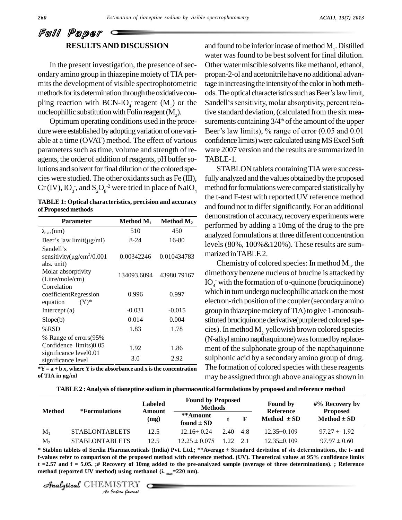### Full Paper **RESULTSAND DISCUSSION**

In the present investigation, the presence of secondary amino group in thiazepine moiety of TIA per mits the development of visible spectrophotometric methods for its determination through the oxidative cou- ods. The optical characteristics such as Beer's law limit, pling reaction with BCN-IO<sub>4</sub> reagent  $(M_1)$  or the Sande nucleophillic substitution with Folin reagent  $(M_2)$ .<br>Optimum operating conditions used in the proce-

dure were established by adopting variation of one vari-<br>Beer's law limits), % range of error (0.05 and 0.01 able at a time (OVAT) method. The effect of various parameters such as time, volume and strength of reagents, the order of addition of reagents, pH buffer solutions and solvent for final dilution of the colored species were studied. The other oxidants such as Fe  $(III)$ , Cr (IV),  $IO_3^-$ , and  $S_2O_8^{-2}$  were tried in place of NaIO<sub>4</sub>

**TABLE 1: Optical characteristics, precision and accuracy ofProposed methods**

| <b>Parameter</b>                            | Method $M_1$ | Method $M_2$ |
|---------------------------------------------|--------------|--------------|
| $\lambda_{\text{max}}(nm)$                  | 510          | 450          |
| Beer's law $limit(\mu g/ml)$                | 8-24         | 16-80        |
| Sandell's                                   |              |              |
| sensitivity( $\mu$ g/cm <sup>2</sup> /0.001 | 0.00342246   | 0.010434783  |
| abs. unit)                                  |              |              |
| Molar absorptivity                          | 134093.6094  | 43980.79167  |
| (Litre/mole/cm)                             |              |              |
| Correlation<br>coefficientRegression        | 0.996        | 0.997        |
| $(Y)^*$<br>equation                         |              |              |
| Intercept $(a)$                             | $-0.031$     | $-0.015$     |
| Slope(b)                                    | 0.014        | 0.004        |
| %RSD                                        | 1.83         | 1.78         |
| % Range of errors(95%                       |              |              |
| Confidence limits)0.05                      | 1.92         | 1.86         |
| significance level0.01                      |              |              |
| significance level                          | 3.0          | 2.92         |

**\*Y = a + b x, where Y isthe absorbance and x isthe concentration**  $\frac{\text{significance level}}{\text{*Y} = \text{a} + \text{b x}, \text{where Y}}$ <br>of TIA in  $\mu\text{g/ml}$ 

and found to be inferior incase of method  $M_1$ . Distilled water was found to be best solvent for final dilution. Other water miscible solvents like methanol, ethanol, propan-2-ol and acetonitrile have no additional advantage in increasing the intensity of the color in both methpropan-2-ol and acetonitrile have no additional advan-<br>tage in increasing the intensity of the color in both meth-<br>ods. The optical characteristics such as Beer's law limit, tage in increasing the intensity of the color in both methods. The optical characteristics such as Beer's law limit,<br>Sandell's sensitivity, molar absorptivity, percent relative standard deviation,(calculated from the six mea surements containing  $3/4<sup>th</sup>$  of the amount of the upper tive standard deviation, (calculated from the six measurements containing  $3/4^{\text{th}}$  of the amount of the upper<br>Beer's law limits), % range of error (0.05 and 0.01 confidence limits) were calculated using MS Excel Soft ware 2007 version and the results are summarized in TABLE-1.

STABLON tablets containing TIA were successfully analyzed and the values obtained by the proposed method for formulations were compared statistically by the t-and F-test with reported UV reference method and found not to differ significantly. For an additional demonstration of accuracy, recovery experiments were performed by adding a 10mg of the drug to the pre analyzed formulations atthree different concentration levels (80%, 100%&120%). These results are sum marized inTABLE2.

Chemistry of colored species: In method  $M_1$ , the dimethoxy benzene nucleus of brucine is attacked by  $IO<sub>4</sub>$  with the formation of o-quinone (bruciquinone) which in turn undergo nucleophillic attack on the most electron-rich position of the coupler (secondary amino group in thiazepine moiety of TIA) to give 1-monosubstituted bruciquinone derivative(purple red colored species). In method M<sub>2</sub> yellowish brown colored species (N-alkyl amino napthaquinone) was formed by replacement of the sulphonate group of the napthaquinone sulphonic acid by a secondary amino group of drug. The formation of colored species with these reagents may be assigned through above analogy as shown in

| TABLE 2 : Analysis of tianeptine sodium in pharmaceutical formulations by proposed and reference method |  |
|---------------------------------------------------------------------------------------------------------|--|
|                                                                                                         |  |

| <b>Method</b><br><i>*Formulations</i> |                       | <b>Labeled</b><br>Amount | <b>Found by Proposed</b><br><b>Methods</b> |      | <b>Found by</b><br>Reference | $\#%$ Recovery by<br><b>Proposed</b> |                  |
|---------------------------------------|-----------------------|--------------------------|--------------------------------------------|------|------------------------------|--------------------------------------|------------------|
|                                       |                       | (mg)                     | **Amount<br>found $\pm$ SD                 |      |                              | Method $\pm$ SD                      | $Method \pm SD$  |
| $M_1$                                 | <b>STABLONTABLETS</b> | 12.5                     | $12.16 \pm 0.24$                           | 2.40 | 4.8                          | $12.35\pm0.109$                      | $97.27 \pm 1.92$ |
| $M_{2}$                               | <b>STABLONTABLETS</b> | 12.5                     | $12.25 \pm 0.075$                          | 122  | 2.1                          | $12.35\pm0.109$                      | $97.97 \pm 0.60$ |

*Indian*<br>*Indian*<br>*Indian*<br>*Indian*<br>*IISTRY*<br>*<i>Indian hournal* \* Stablon tablets of Serdia Pharmaceuticals (India) Pvt. Ltd.; \*\*Average ± Standard deviation of six determinations, the t- and f-values refer to comparison of the proposed method with reference method. (UV). Theoretical values at 95% confidence limits  $t = 2.57$  and  $f = 5.05$ . # Recovery of 10mg added to the pre-analyzed sample (average of three determinations). ; Reference **method** (reported UV method) using methanol  $(\lambda_{max}=220 \text{ nm}).$ 

CHEMISTRY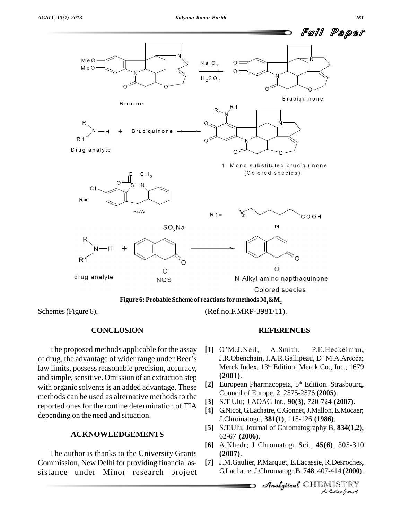

#### **Figure 6: Probable Scheme of reactionsfor methods M1&M<sup>2</sup>**

Schemes(Figure 6).

#### **CONCLUSION**

The proposed methods applicable for the assay [1] O'M.J.Neil, of drug, the advantage of wider range under Beer's law limits, possess reasonable precision, accuracy, and simple, sensitive. Omission of an extraction step with organic solvents is an added advantage. These methods can be used as alternative methods to the reported ones for the routine determination of TIA depending on the need and situation.

#### **ACKNOWLEDGEMENTS**

The author is thanks to the University Grants Commission, New Delhi for providing financial as sistance under Minor research project (Ref.no.F.MRP-3981/11).

#### **REFERENCES**

- **REFERENCES**<br>[1] O'M.J.Neil, A.Smith, P.E.Heckelman, O'M.J.Neil, A.Smith, P.E.Heckelman,<br>J.R.Obenchain, J.A.R.Gallipeau, D'M.A.Arecca; Merck Index, 13 th Edition, Merck Co., Inc., 1679 **(2001)**.
- [2] European Pharmacopeia, 5<sup>th</sup> Edition. Strasbourg, Council of Europe, **2**, 2575-2576 **(2005)**.
- **[3]** S.T Ulu; J AOAC Int., **90(3)**, 720-724 **(2007)**.
- **[4]** G.Nicot,G.Lachatre,C.Gonnet,J.Mallon,E.Mocaer; J.Chromatogr., **381(1)**, 115-126 **(1986)**.
- **[5]** S.T.Ulu; Journal of Chromatography B, **834(1,2)**, 62-67 **(2006)**.
- Analytical**[6]** A.Khedr; J Chromatogr Sci., **45(6)**, 305-310 **(2007)**.
- *I*), 305-310<br>*Indian Journal*<br>*IISTRY*<br>*Indian bournal* **[7]** J.M.Gaulier, P.Marquet, E.Lacassie, R.Desroches, G.Lachatre;J.Chromatogr.B, **748**, 407-414 **(2000)**.

CHEMISTRY